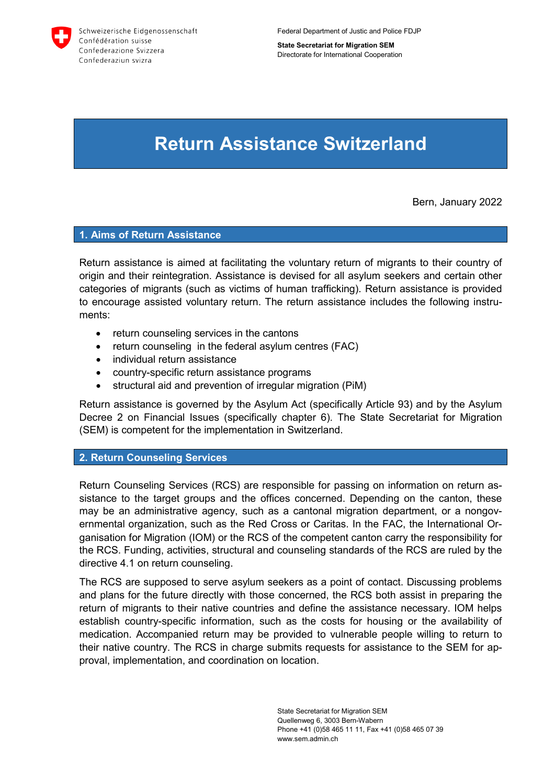

**State Secretariat for Migration SEM** Directorate for International Cooperation

# **Return Assistance Switzerland**

Bern, January 2022

## **1. Aims of Return Assistance**

Return assistance is aimed at facilitating the voluntary return of migrants to their country of origin and their reintegration. Assistance is devised for all asylum seekers and certain other categories of migrants (such as victims of human trafficking). Return assistance is provided to encourage assisted voluntary return. The return assistance includes the following instruments:

- return counseling services in the cantons
- return counseling in the federal asylum centres (FAC)
- individual return assistance
- country-specific return assistance programs
- structural aid and prevention of irregular migration (PiM)

Return assistance is governed by the Asylum Act (specifically Article 93) and by the Asylum Decree 2 on Financial Issues (specifically chapter 6). The State Secretariat for Migration (SEM) is competent for the implementation in Switzerland.

## **2. Return Counseling Services**

Return Counseling Services (RCS) are responsible for passing on information on return assistance to the target groups and the offices concerned. Depending on the canton, these may be an administrative agency, such as a cantonal migration department, or a nongovernmental organization, such as the Red Cross or Caritas. In the FAC, the International Organisation for Migration (IOM) or the RCS of the competent canton carry the responsibility for the RCS. Funding, activities, structural and counseling standards of the RCS are ruled by the directive 4.1 on return counseling.

The RCS are supposed to serve asylum seekers as a point of contact. Discussing problems and plans for the future directly with those concerned, the RCS both assist in preparing the return of migrants to their native countries and define the assistance necessary. IOM helps establish country-specific information, such as the costs for housing or the availability of medication. Accompanied return may be provided to vulnerable people willing to return to their native country. The RCS in charge submits requests for assistance to the SEM for approval, implementation, and coordination on location.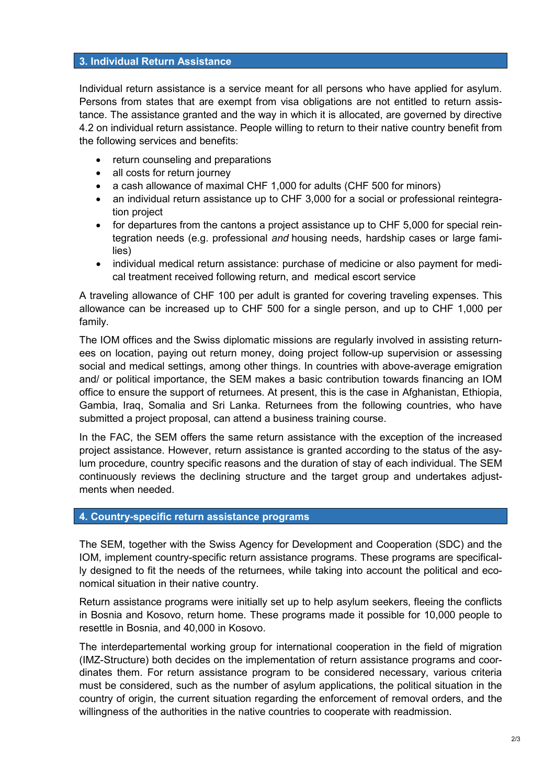## **3. Individual Return Assistance**

Individual return assistance is a service meant for all persons who have applied for asylum. Persons from states that are exempt from visa obligations are not entitled to return assistance. The assistance granted and the way in which it is allocated, are governed by directive 4.2 on individual return assistance. People willing to return to their native country benefit from the following services and benefits:

- return counseling and preparations
- all costs for return journey
- a cash allowance of maximal CHF 1,000 for adults (CHF 500 for minors)
- an individual return assistance up to CHF 3,000 for a social or professional reintegration project
- for departures from the cantons a project assistance up to CHF 5,000 for special reintegration needs (e.g. professional *and* housing needs, hardship cases or large families)
- individual medical return assistance: purchase of medicine or also payment for medical treatment received following return, and medical escort service

A traveling allowance of CHF 100 per adult is granted for covering traveling expenses. This allowance can be increased up to CHF 500 for a single person, and up to CHF 1,000 per family.

The IOM offices and the Swiss diplomatic missions are regularly involved in assisting returnees on location, paying out return money, doing project follow-up supervision or assessing social and medical settings, among other things. In countries with above-average emigration and/ or political importance, the SEM makes a basic contribution towards financing an IOM office to ensure the support of returnees. At present, this is the case in Afghanistan, Ethiopia, Gambia, Iraq, Somalia and Sri Lanka. Returnees from the following countries, who have submitted a project proposal, can attend a business training course.

In the FAC, the SEM offers the same return assistance with the exception of the increased project assistance. However, return assistance is granted according to the status of the asylum procedure, country specific reasons and the duration of stay of each individual. The SEM continuously reviews the declining structure and the target group and undertakes adjustments when needed.

## **4. Country-specific return assistance programs**

The SEM, together with the Swiss Agency for Development and Cooperation (SDC) and the IOM, implement country-specific return assistance programs. These programs are specifically designed to fit the needs of the returnees, while taking into account the political and economical situation in their native country.

Return assistance programs were initially set up to help asylum seekers, fleeing the conflicts in Bosnia and Kosovo, return home. These programs made it possible for 10,000 people to resettle in Bosnia, and 40,000 in Kosovo.

The interdepartemental working group for international cooperation in the field of migration (IMZ-Structure) both decides on the implementation of return assistance programs and coordinates them. For return assistance program to be considered necessary, various criteria must be considered, such as the number of asylum applications, the political situation in the country of origin, the current situation regarding the enforcement of removal orders, and the willingness of the authorities in the native countries to cooperate with readmission.